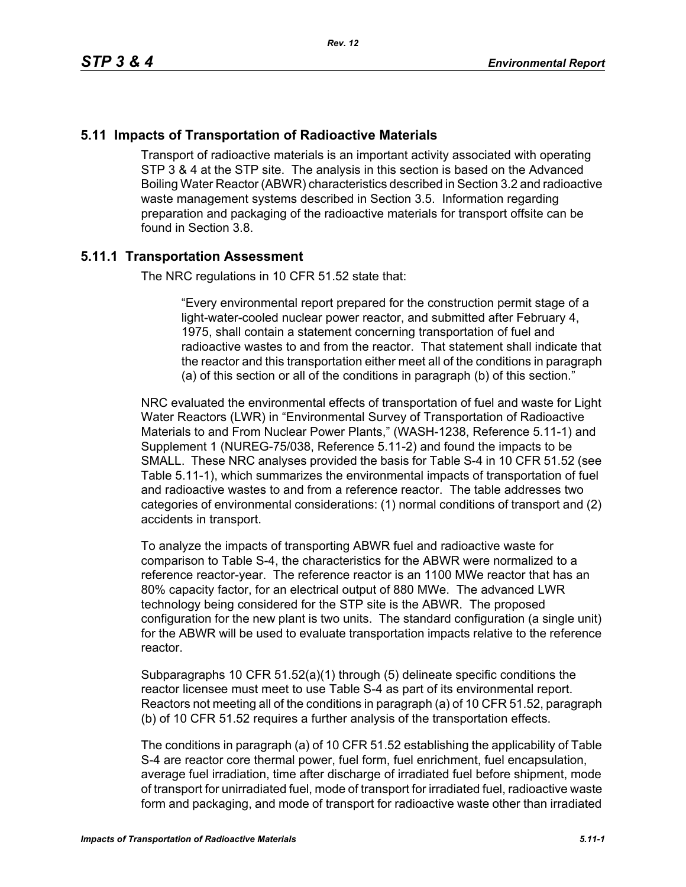# **5.11 Impacts of Transportation of Radioactive Materials**

Transport of radioactive materials is an important activity associated with operating STP 3 & 4 at the STP site. The analysis in this section is based on the Advanced Boiling Water Reactor (ABWR) characteristics described in Section 3.2 and radioactive waste management systems described in Section 3.5. Information regarding preparation and packaging of the radioactive materials for transport offsite can be found in Section 3.8.

# **5.11.1 Transportation Assessment**

The NRC regulations in 10 CFR 51.52 state that:

"Every environmental report prepared for the construction permit stage of a light-water-cooled nuclear power reactor, and submitted after February 4, 1975, shall contain a statement concerning transportation of fuel and radioactive wastes to and from the reactor. That statement shall indicate that the reactor and this transportation either meet all of the conditions in paragraph (a) of this section or all of the conditions in paragraph (b) of this section."

NRC evaluated the environmental effects of transportation of fuel and waste for Light Water Reactors (LWR) in "Environmental Survey of Transportation of Radioactive Materials to and From Nuclear Power Plants," (WASH-1238, Reference 5.11-1) and Supplement 1 (NUREG-75/038, Reference 5.11-2) and found the impacts to be SMALL. These NRC analyses provided the basis for Table S-4 in 10 CFR 51.52 (see Table 5.11-1), which summarizes the environmental impacts of transportation of fuel and radioactive wastes to and from a reference reactor. The table addresses two categories of environmental considerations: (1) normal conditions of transport and (2) accidents in transport.

To analyze the impacts of transporting ABWR fuel and radioactive waste for comparison to Table S-4, the characteristics for the ABWR were normalized to a reference reactor-year. The reference reactor is an 1100 MWe reactor that has an 80% capacity factor, for an electrical output of 880 MWe. The advanced LWR technology being considered for the STP site is the ABWR. The proposed configuration for the new plant is two units. The standard configuration (a single unit) for the ABWR will be used to evaluate transportation impacts relative to the reference reactor.

Subparagraphs 10 CFR 51.52(a)(1) through (5) delineate specific conditions the reactor licensee must meet to use Table S-4 as part of its environmental report. Reactors not meeting all of the conditions in paragraph (a) of 10 CFR 51.52, paragraph (b) of 10 CFR 51.52 requires a further analysis of the transportation effects.

The conditions in paragraph (a) of 10 CFR 51.52 establishing the applicability of Table S-4 are reactor core thermal power, fuel form, fuel enrichment, fuel encapsulation, average fuel irradiation, time after discharge of irradiated fuel before shipment, mode of transport for unirradiated fuel, mode of transport for irradiated fuel, radioactive waste form and packaging, and mode of transport for radioactive waste other than irradiated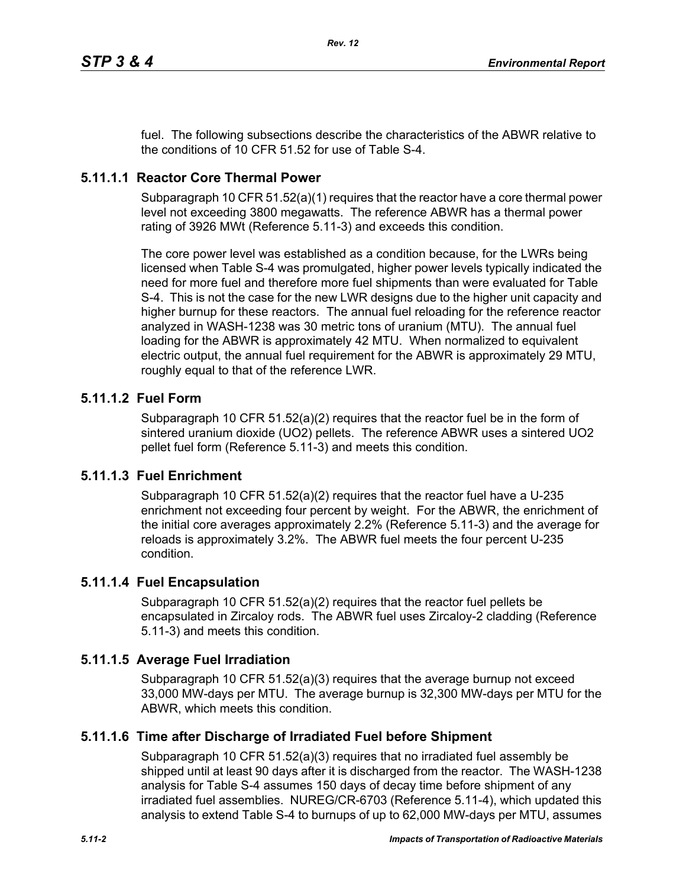fuel. The following subsections describe the characteristics of the ABWR relative to the conditions of 10 CFR 51.52 for use of Table S-4.

# **5.11.1.1 Reactor Core Thermal Power**

Subparagraph 10 CFR 51.52(a)(1) requires that the reactor have a core thermal power level not exceeding 3800 megawatts. The reference ABWR has a thermal power rating of 3926 MWt (Reference 5.11-3) and exceeds this condition.

The core power level was established as a condition because, for the LWRs being licensed when Table S-4 was promulgated, higher power levels typically indicated the need for more fuel and therefore more fuel shipments than were evaluated for Table S-4. This is not the case for the new LWR designs due to the higher unit capacity and higher burnup for these reactors. The annual fuel reloading for the reference reactor analyzed in WASH-1238 was 30 metric tons of uranium (MTU). The annual fuel loading for the ABWR is approximately 42 MTU. When normalized to equivalent electric output, the annual fuel requirement for the ABWR is approximately 29 MTU, roughly equal to that of the reference LWR.

# **5.11.1.2 Fuel Form**

Subparagraph 10 CFR 51.52(a)(2) requires that the reactor fuel be in the form of sintered uranium dioxide (UO2) pellets. The reference ABWR uses a sintered UO2 pellet fuel form (Reference 5.11-3) and meets this condition.

# **5.11.1.3 Fuel Enrichment**

Subparagraph 10 CFR 51.52(a)(2) requires that the reactor fuel have a U-235 enrichment not exceeding four percent by weight. For the ABWR, the enrichment of the initial core averages approximately 2.2% (Reference 5.11-3) and the average for reloads is approximately 3.2%. The ABWR fuel meets the four percent U-235 condition.

# **5.11.1.4 Fuel Encapsulation**

Subparagraph 10 CFR 51.52(a)(2) requires that the reactor fuel pellets be encapsulated in Zircaloy rods. The ABWR fuel uses Zircaloy-2 cladding (Reference 5.11-3) and meets this condition.

# **5.11.1.5 Average Fuel Irradiation**

Subparagraph 10 CFR  $51.52(a)(3)$  requires that the average burnup not exceed 33,000 MW-days per MTU. The average burnup is 32,300 MW-days per MTU for the ABWR, which meets this condition.

# **5.11.1.6 Time after Discharge of Irradiated Fuel before Shipment**

Subparagraph 10 CFR 51.52(a)(3) requires that no irradiated fuel assembly be shipped until at least 90 days after it is discharged from the reactor. The WASH-1238 analysis for Table S-4 assumes 150 days of decay time before shipment of any irradiated fuel assemblies. NUREG/CR-6703 (Reference 5.11-4), which updated this analysis to extend Table S-4 to burnups of up to 62,000 MW-days per MTU, assumes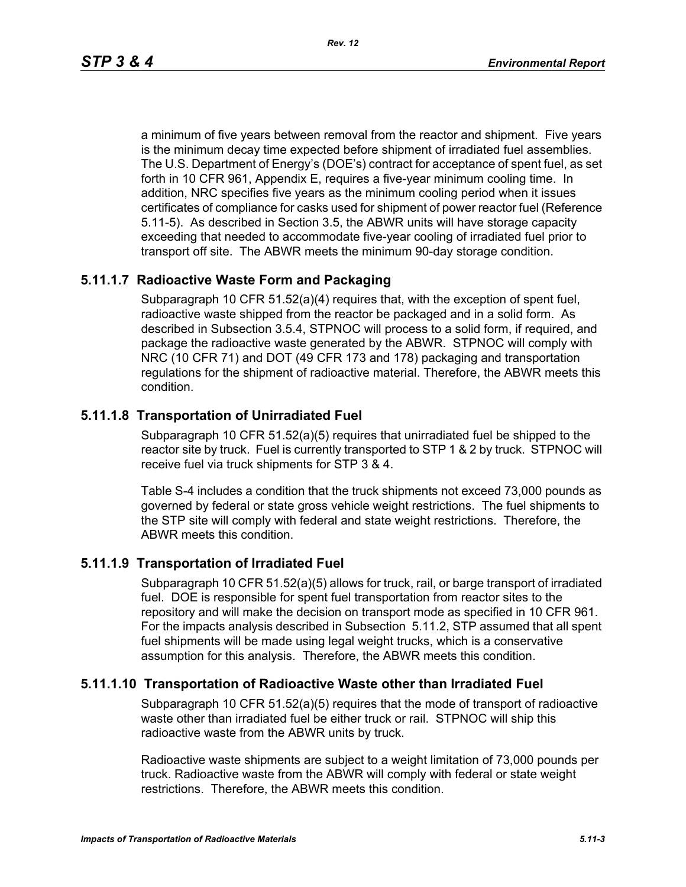a minimum of five years between removal from the reactor and shipment. Five years is the minimum decay time expected before shipment of irradiated fuel assemblies. The U.S. Department of Energy's (DOE's) contract for acceptance of spent fuel, as set forth in 10 CFR 961, Appendix E, requires a five-year minimum cooling time. In addition, NRC specifies five years as the minimum cooling period when it issues certificates of compliance for casks used for shipment of power reactor fuel (Reference 5.11-5). As described in Section 3.5, the ABWR units will have storage capacity exceeding that needed to accommodate five-year cooling of irradiated fuel prior to transport off site. The ABWR meets the minimum 90-day storage condition.

# **5.11.1.7 Radioactive Waste Form and Packaging**

Subparagraph 10 CFR 51.52(a)(4) requires that, with the exception of spent fuel, radioactive waste shipped from the reactor be packaged and in a solid form. As described in Subsection 3.5.4, STPNOC will process to a solid form, if required, and package the radioactive waste generated by the ABWR. STPNOC will comply with NRC (10 CFR 71) and DOT (49 CFR 173 and 178) packaging and transportation regulations for the shipment of radioactive material. Therefore, the ABWR meets this condition.

# **5.11.1.8 Transportation of Unirradiated Fuel**

Subparagraph 10 CFR 51.52(a)(5) requires that unirradiated fuel be shipped to the reactor site by truck. Fuel is currently transported to STP 1 & 2 by truck. STPNOC will receive fuel via truck shipments for STP 3 & 4.

Table S-4 includes a condition that the truck shipments not exceed 73,000 pounds as governed by federal or state gross vehicle weight restrictions. The fuel shipments to the STP site will comply with federal and state weight restrictions. Therefore, the ABWR meets this condition.

# **5.11.1.9 Transportation of Irradiated Fuel**

Subparagraph 10 CFR 51.52(a)(5) allows for truck, rail, or barge transport of irradiated fuel. DOE is responsible for spent fuel transportation from reactor sites to the repository and will make the decision on transport mode as specified in 10 CFR 961. For the impacts analysis described in Subsection 5.11.2, STP assumed that all spent fuel shipments will be made using legal weight trucks, which is a conservative assumption for this analysis. Therefore, the ABWR meets this condition.

# **5.11.1.10 Transportation of Radioactive Waste other than Irradiated Fuel**

Subparagraph 10 CFR 51.52(a)(5) requires that the mode of transport of radioactive waste other than irradiated fuel be either truck or rail. STPNOC will ship this radioactive waste from the ABWR units by truck.

Radioactive waste shipments are subject to a weight limitation of 73,000 pounds per truck. Radioactive waste from the ABWR will comply with federal or state weight restrictions. Therefore, the ABWR meets this condition.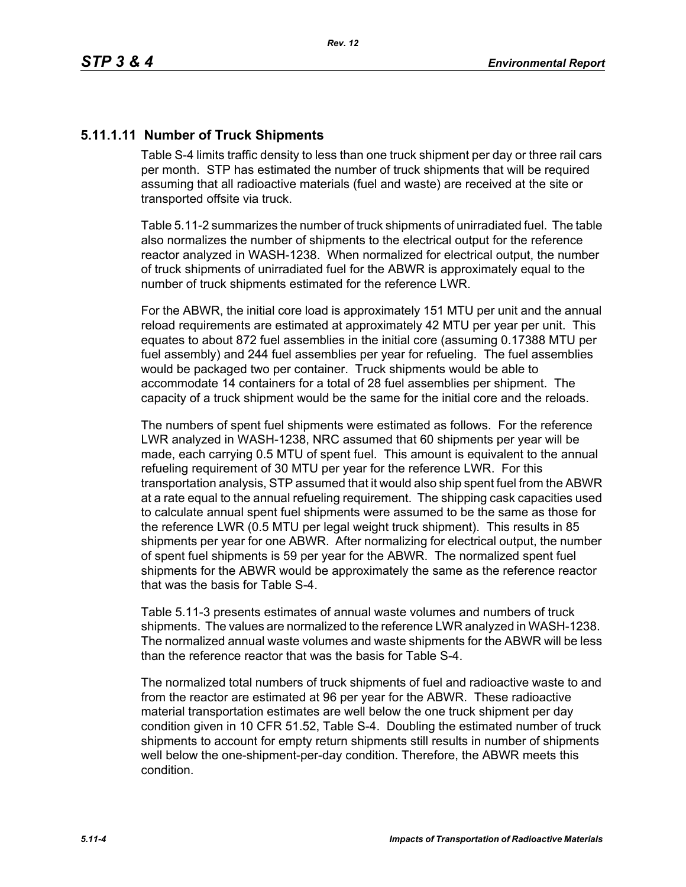# **5.11.1.11 Number of Truck Shipments**

Table S-4 limits traffic density to less than one truck shipment per day or three rail cars per month. STP has estimated the number of truck shipments that will be required assuming that all radioactive materials (fuel and waste) are received at the site or transported offsite via truck.

Table 5.11-2 summarizes the number of truck shipments of unirradiated fuel. The table also normalizes the number of shipments to the electrical output for the reference reactor analyzed in WASH-1238. When normalized for electrical output, the number of truck shipments of unirradiated fuel for the ABWR is approximately equal to the number of truck shipments estimated for the reference LWR.

For the ABWR, the initial core load is approximately 151 MTU per unit and the annual reload requirements are estimated at approximately 42 MTU per year per unit. This equates to about 872 fuel assemblies in the initial core (assuming 0.17388 MTU per fuel assembly) and 244 fuel assemblies per year for refueling. The fuel assemblies would be packaged two per container. Truck shipments would be able to accommodate 14 containers for a total of 28 fuel assemblies per shipment. The capacity of a truck shipment would be the same for the initial core and the reloads.

The numbers of spent fuel shipments were estimated as follows. For the reference LWR analyzed in WASH-1238, NRC assumed that 60 shipments per year will be made, each carrying 0.5 MTU of spent fuel. This amount is equivalent to the annual refueling requirement of 30 MTU per year for the reference LWR. For this transportation analysis, STP assumed that it would also ship spent fuel from the ABWR at a rate equal to the annual refueling requirement. The shipping cask capacities used to calculate annual spent fuel shipments were assumed to be the same as those for the reference LWR (0.5 MTU per legal weight truck shipment). This results in 85 shipments per year for one ABWR. After normalizing for electrical output, the number of spent fuel shipments is 59 per year for the ABWR. The normalized spent fuel shipments for the ABWR would be approximately the same as the reference reactor that was the basis for Table S-4.

Table 5.11-3 presents estimates of annual waste volumes and numbers of truck shipments. The values are normalized to the reference LWR analyzed in WASH-1238. The normalized annual waste volumes and waste shipments for the ABWR will be less than the reference reactor that was the basis for Table S-4.

The normalized total numbers of truck shipments of fuel and radioactive waste to and from the reactor are estimated at 96 per year for the ABWR. These radioactive material transportation estimates are well below the one truck shipment per day condition given in 10 CFR 51.52, Table S-4. Doubling the estimated number of truck shipments to account for empty return shipments still results in number of shipments well below the one-shipment-per-day condition. Therefore, the ABWR meets this condition.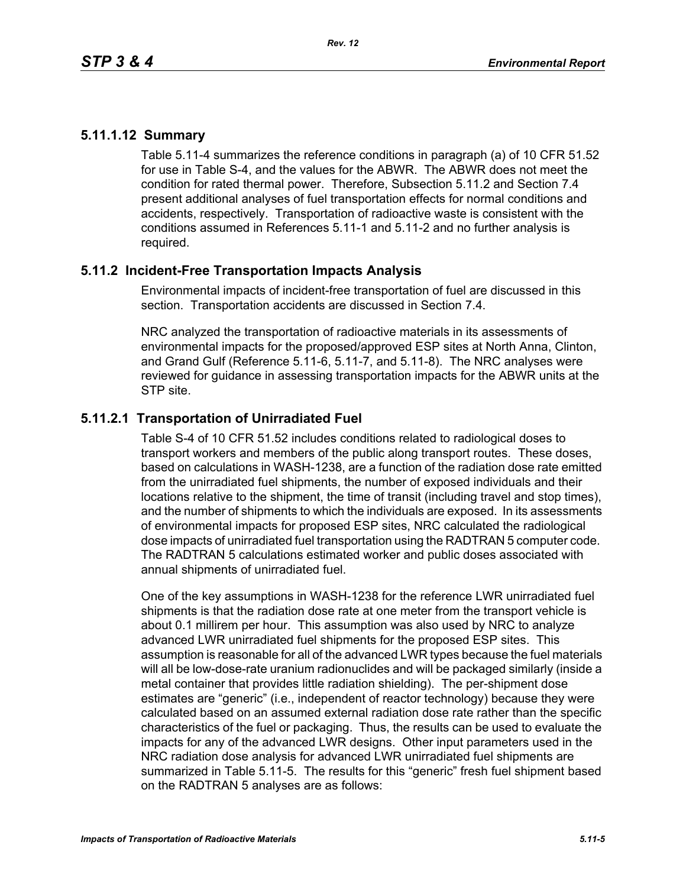# **5.11.1.12 Summary**

Table 5.11-4 summarizes the reference conditions in paragraph (a) of 10 CFR 51.52 for use in Table S-4, and the values for the ABWR. The ABWR does not meet the condition for rated thermal power. Therefore, Subsection 5.11.2 and Section 7.4 present additional analyses of fuel transportation effects for normal conditions and accidents, respectively. Transportation of radioactive waste is consistent with the conditions assumed in References 5.11-1 and 5.11-2 and no further analysis is required.

# **5.11.2 Incident-Free Transportation Impacts Analysis**

Environmental impacts of incident-free transportation of fuel are discussed in this section. Transportation accidents are discussed in Section 7.4.

NRC analyzed the transportation of radioactive materials in its assessments of environmental impacts for the proposed/approved ESP sites at North Anna, Clinton, and Grand Gulf (Reference 5.11-6, 5.11-7, and 5.11-8). The NRC analyses were reviewed for guidance in assessing transportation impacts for the ABWR units at the STP site.

# **5.11.2.1 Transportation of Unirradiated Fuel**

Table S-4 of 10 CFR 51.52 includes conditions related to radiological doses to transport workers and members of the public along transport routes. These doses, based on calculations in WASH-1238, are a function of the radiation dose rate emitted from the unirradiated fuel shipments, the number of exposed individuals and their locations relative to the shipment, the time of transit (including travel and stop times), and the number of shipments to which the individuals are exposed. In its assessments of environmental impacts for proposed ESP sites, NRC calculated the radiological dose impacts of unirradiated fuel transportation using the RADTRAN 5 computer code. The RADTRAN 5 calculations estimated worker and public doses associated with annual shipments of unirradiated fuel.

One of the key assumptions in WASH-1238 for the reference LWR unirradiated fuel shipments is that the radiation dose rate at one meter from the transport vehicle is about 0.1 millirem per hour. This assumption was also used by NRC to analyze advanced LWR unirradiated fuel shipments for the proposed ESP sites. This assumption is reasonable for all of the advanced LWR types because the fuel materials will all be low-dose-rate uranium radionuclides and will be packaged similarly (inside a metal container that provides little radiation shielding). The per-shipment dose estimates are "generic" (i.e., independent of reactor technology) because they were calculated based on an assumed external radiation dose rate rather than the specific characteristics of the fuel or packaging. Thus, the results can be used to evaluate the impacts for any of the advanced LWR designs. Other input parameters used in the NRC radiation dose analysis for advanced LWR unirradiated fuel shipments are summarized in Table 5.11-5. The results for this "generic" fresh fuel shipment based on the RADTRAN 5 analyses are as follows: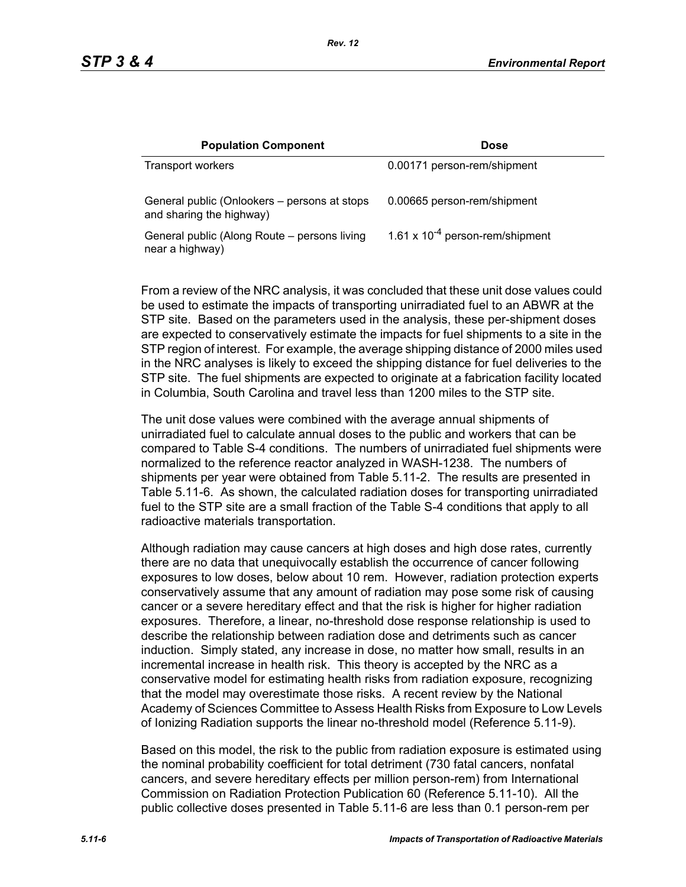| <b>Population Component</b>                                              | <b>Dose</b>                          |
|--------------------------------------------------------------------------|--------------------------------------|
| <b>Transport workers</b>                                                 | 0.00171 person-rem/shipment          |
| General public (Onlookers – persons at stops<br>and sharing the highway) | 0.00665 person-rem/shipment          |
| General public (Along Route – persons living<br>near a highway)          | 1.61 x $10^{-4}$ person-rem/shipment |

From a review of the NRC analysis, it was concluded that these unit dose values could be used to estimate the impacts of transporting unirradiated fuel to an ABWR at the STP site. Based on the parameters used in the analysis, these per-shipment doses are expected to conservatively estimate the impacts for fuel shipments to a site in the STP region of interest. For example, the average shipping distance of 2000 miles used in the NRC analyses is likely to exceed the shipping distance for fuel deliveries to the STP site. The fuel shipments are expected to originate at a fabrication facility located in Columbia, South Carolina and travel less than 1200 miles to the STP site.

The unit dose values were combined with the average annual shipments of unirradiated fuel to calculate annual doses to the public and workers that can be compared to Table S-4 conditions. The numbers of unirradiated fuel shipments were normalized to the reference reactor analyzed in WASH-1238. The numbers of shipments per year were obtained from Table 5.11-2. The results are presented in Table 5.11-6. As shown, the calculated radiation doses for transporting unirradiated fuel to the STP site are a small fraction of the Table S-4 conditions that apply to all radioactive materials transportation.

Although radiation may cause cancers at high doses and high dose rates, currently there are no data that unequivocally establish the occurrence of cancer following exposures to low doses, below about 10 rem. However, radiation protection experts conservatively assume that any amount of radiation may pose some risk of causing cancer or a severe hereditary effect and that the risk is higher for higher radiation exposures. Therefore, a linear, no-threshold dose response relationship is used to describe the relationship between radiation dose and detriments such as cancer induction. Simply stated, any increase in dose, no matter how small, results in an incremental increase in health risk. This theory is accepted by the NRC as a conservative model for estimating health risks from radiation exposure, recognizing that the model may overestimate those risks. A recent review by the National Academy of Sciences Committee to Assess Health Risks from Exposure to Low Levels of Ionizing Radiation supports the linear no-threshold model (Reference 5.11-9).

Based on this model, the risk to the public from radiation exposure is estimated using the nominal probability coefficient for total detriment (730 fatal cancers, nonfatal cancers, and severe hereditary effects per million person-rem) from International Commission on Radiation Protection Publication 60 (Reference 5.11-10). All the public collective doses presented in Table 5.11-6 are less than 0.1 person-rem per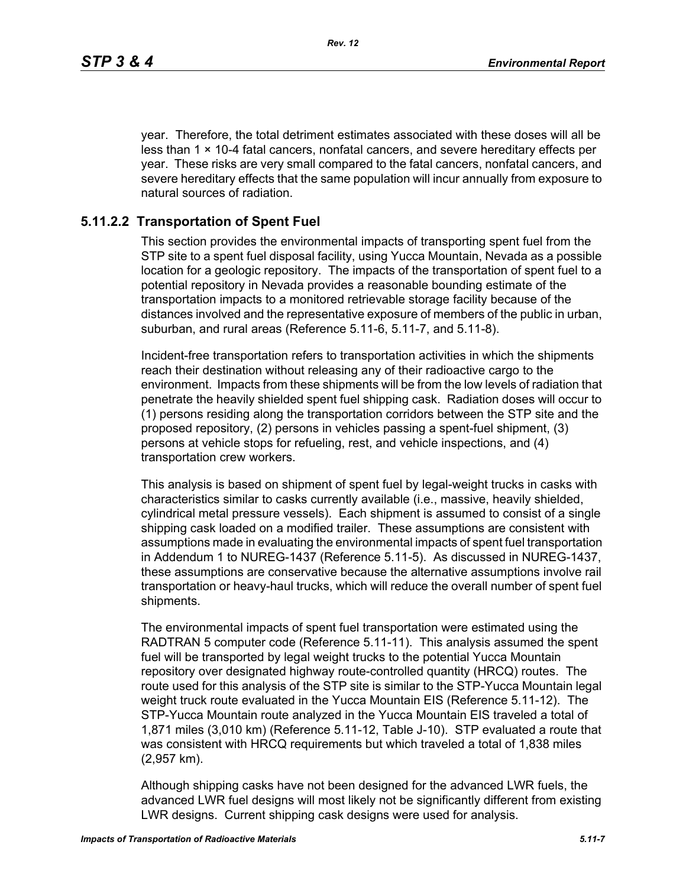year. Therefore, the total detriment estimates associated with these doses will all be less than  $1 \times 10-4$  fatal cancers, nonfatal cancers, and severe hereditary effects per year. These risks are very small compared to the fatal cancers, nonfatal cancers, and severe hereditary effects that the same population will incur annually from exposure to natural sources of radiation.

#### **5.11.2.2 Transportation of Spent Fuel**

This section provides the environmental impacts of transporting spent fuel from the STP site to a spent fuel disposal facility, using Yucca Mountain, Nevada as a possible location for a geologic repository. The impacts of the transportation of spent fuel to a potential repository in Nevada provides a reasonable bounding estimate of the transportation impacts to a monitored retrievable storage facility because of the distances involved and the representative exposure of members of the public in urban, suburban, and rural areas (Reference 5.11-6, 5.11-7, and 5.11-8).

Incident-free transportation refers to transportation activities in which the shipments reach their destination without releasing any of their radioactive cargo to the environment. Impacts from these shipments will be from the low levels of radiation that penetrate the heavily shielded spent fuel shipping cask. Radiation doses will occur to (1) persons residing along the transportation corridors between the STP site and the proposed repository, (2) persons in vehicles passing a spent-fuel shipment, (3) persons at vehicle stops for refueling, rest, and vehicle inspections, and (4) transportation crew workers.

This analysis is based on shipment of spent fuel by legal-weight trucks in casks with characteristics similar to casks currently available (i.e., massive, heavily shielded, cylindrical metal pressure vessels). Each shipment is assumed to consist of a single shipping cask loaded on a modified trailer. These assumptions are consistent with assumptions made in evaluating the environmental impacts of spent fuel transportation in Addendum 1 to NUREG-1437 (Reference 5.11-5). As discussed in NUREG-1437, these assumptions are conservative because the alternative assumptions involve rail transportation or heavy-haul trucks, which will reduce the overall number of spent fuel shipments.

The environmental impacts of spent fuel transportation were estimated using the RADTRAN 5 computer code (Reference 5.11-11). This analysis assumed the spent fuel will be transported by legal weight trucks to the potential Yucca Mountain repository over designated highway route-controlled quantity (HRCQ) routes. The route used for this analysis of the STP site is similar to the STP-Yucca Mountain legal weight truck route evaluated in the Yucca Mountain EIS (Reference 5.11-12). The STP-Yucca Mountain route analyzed in the Yucca Mountain EIS traveled a total of 1,871 miles (3,010 km) (Reference 5.11-12, Table J-10). STP evaluated a route that was consistent with HRCQ requirements but which traveled a total of 1,838 miles (2,957 km).

Although shipping casks have not been designed for the advanced LWR fuels, the advanced LWR fuel designs will most likely not be significantly different from existing LWR designs. Current shipping cask designs were used for analysis.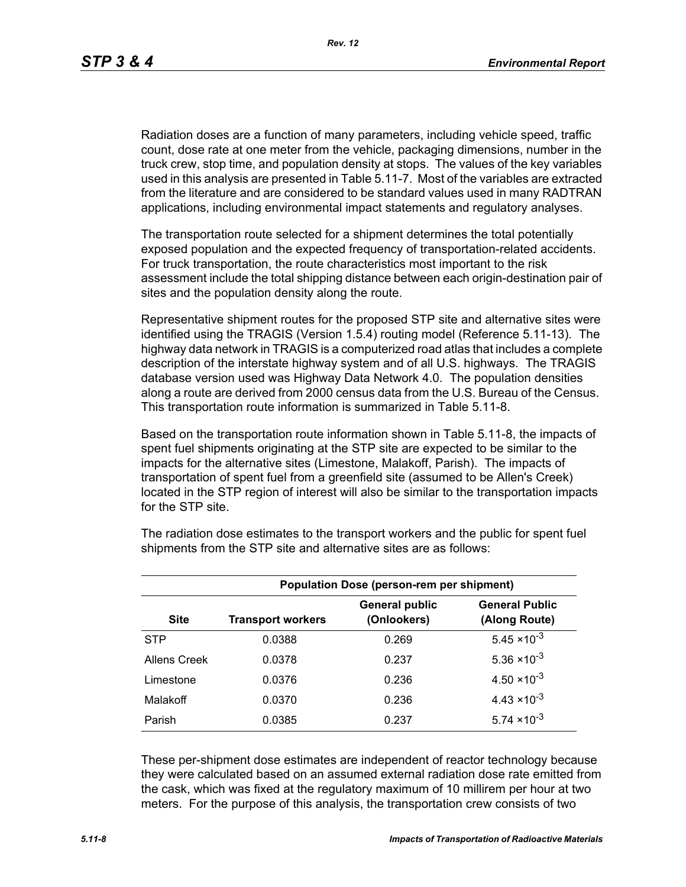Radiation doses are a function of many parameters, including vehicle speed, traffic count, dose rate at one meter from the vehicle, packaging dimensions, number in the truck crew, stop time, and population density at stops. The values of the key variables used in this analysis are presented in Table 5.11-7. Most of the variables are extracted from the literature and are considered to be standard values used in many RADTRAN applications, including environmental impact statements and regulatory analyses.

The transportation route selected for a shipment determines the total potentially exposed population and the expected frequency of transportation-related accidents. For truck transportation, the route characteristics most important to the risk assessment include the total shipping distance between each origin-destination pair of sites and the population density along the route.

Representative shipment routes for the proposed STP site and alternative sites were identified using the TRAGIS (Version 1.5.4) routing model (Reference 5.11-13). The highway data network in TRAGIS is a computerized road atlas that includes a complete description of the interstate highway system and of all U.S. highways. The TRAGIS database version used was Highway Data Network 4.0. The population densities along a route are derived from 2000 census data from the U.S. Bureau of the Census. This transportation route information is summarized in Table 5.11-8.

Based on the transportation route information shown in Table 5.11-8, the impacts of spent fuel shipments originating at the STP site are expected to be similar to the impacts for the alternative sites (Limestone, Malakoff, Parish). The impacts of transportation of spent fuel from a greenfield site (assumed to be Allen's Creek) located in the STP region of interest will also be similar to the transportation impacts for the STP site.

| <b>Population Dose (person-rem per shipment)</b> |                          |                                      |                                        |  |  |
|--------------------------------------------------|--------------------------|--------------------------------------|----------------------------------------|--|--|
| <b>Site</b>                                      | <b>Transport workers</b> | <b>General public</b><br>(Onlookers) | <b>General Public</b><br>(Along Route) |  |  |
| <b>STP</b>                                       | 0.0388                   | 0.269                                | $5.45 \times 10^{-3}$                  |  |  |
| Allens Creek                                     | 0.0378                   | 0.237                                | $5.36 \times 10^{-3}$                  |  |  |
| Limestone                                        | 0.0376                   | 0.236                                | $4.50 \times 10^{-3}$                  |  |  |
| Malakoff                                         | 0.0370                   | 0.236                                | $4.43 \times 10^{-3}$                  |  |  |
| Parish                                           | 0.0385                   | 0.237                                | $5.74 \times 10^{-3}$                  |  |  |

The radiation dose estimates to the transport workers and the public for spent fuel shipments from the STP site and alternative sites are as follows:

These per-shipment dose estimates are independent of reactor technology because they were calculated based on an assumed external radiation dose rate emitted from the cask, which was fixed at the regulatory maximum of 10 millirem per hour at two meters. For the purpose of this analysis, the transportation crew consists of two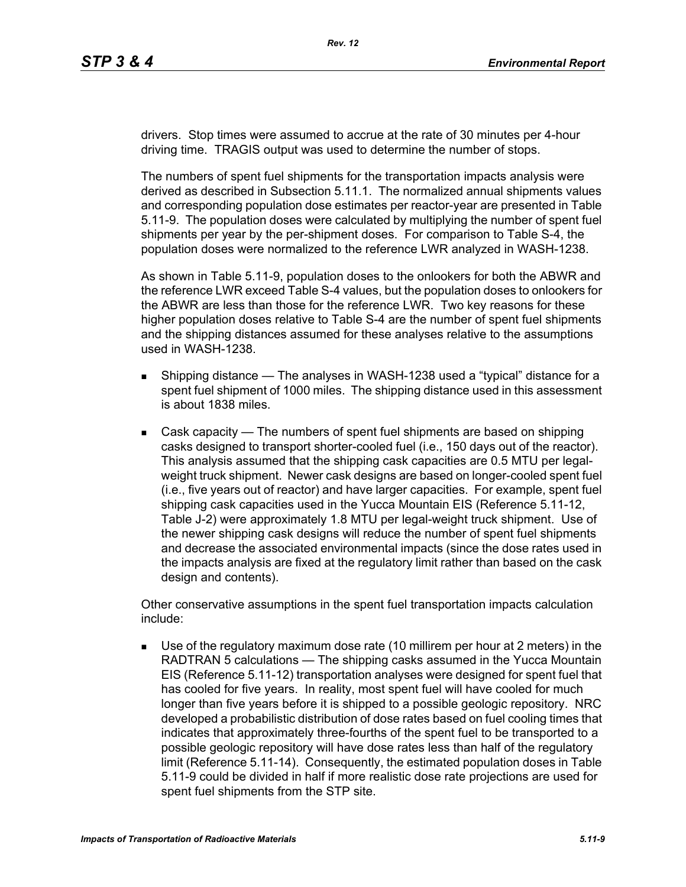drivers. Stop times were assumed to accrue at the rate of 30 minutes per 4-hour driving time. TRAGIS output was used to determine the number of stops.

The numbers of spent fuel shipments for the transportation impacts analysis were derived as described in Subsection 5.11.1. The normalized annual shipments values and corresponding population dose estimates per reactor-year are presented in Table 5.11-9. The population doses were calculated by multiplying the number of spent fuel shipments per year by the per-shipment doses. For comparison to Table S-4, the population doses were normalized to the reference LWR analyzed in WASH-1238.

As shown in Table 5.11-9, population doses to the onlookers for both the ABWR and the reference LWR exceed Table S-4 values, but the population doses to onlookers for the ABWR are less than those for the reference LWR. Two key reasons for these higher population doses relative to Table S-4 are the number of spent fuel shipments and the shipping distances assumed for these analyses relative to the assumptions used in WASH-1238.

- **Shipping distance The analyses in WASH-1238 used a "typical" distance for a** spent fuel shipment of 1000 miles. The shipping distance used in this assessment is about 1838 miles.
- Cask capacity The numbers of spent fuel shipments are based on shipping casks designed to transport shorter-cooled fuel (i.e., 150 days out of the reactor). This analysis assumed that the shipping cask capacities are 0.5 MTU per legalweight truck shipment. Newer cask designs are based on longer-cooled spent fuel (i.e., five years out of reactor) and have larger capacities. For example, spent fuel shipping cask capacities used in the Yucca Mountain EIS (Reference 5.11-12, Table J-2) were approximately 1.8 MTU per legal-weight truck shipment. Use of the newer shipping cask designs will reduce the number of spent fuel shipments and decrease the associated environmental impacts (since the dose rates used in the impacts analysis are fixed at the regulatory limit rather than based on the cask design and contents).

Other conservative assumptions in the spent fuel transportation impacts calculation include:

 Use of the regulatory maximum dose rate (10 millirem per hour at 2 meters) in the RADTRAN 5 calculations — The shipping casks assumed in the Yucca Mountain EIS (Reference 5.11-12) transportation analyses were designed for spent fuel that has cooled for five years. In reality, most spent fuel will have cooled for much longer than five years before it is shipped to a possible geologic repository. NRC developed a probabilistic distribution of dose rates based on fuel cooling times that indicates that approximately three-fourths of the spent fuel to be transported to a possible geologic repository will have dose rates less than half of the regulatory limit (Reference 5.11-14). Consequently, the estimated population doses in Table 5.11-9 could be divided in half if more realistic dose rate projections are used for spent fuel shipments from the STP site.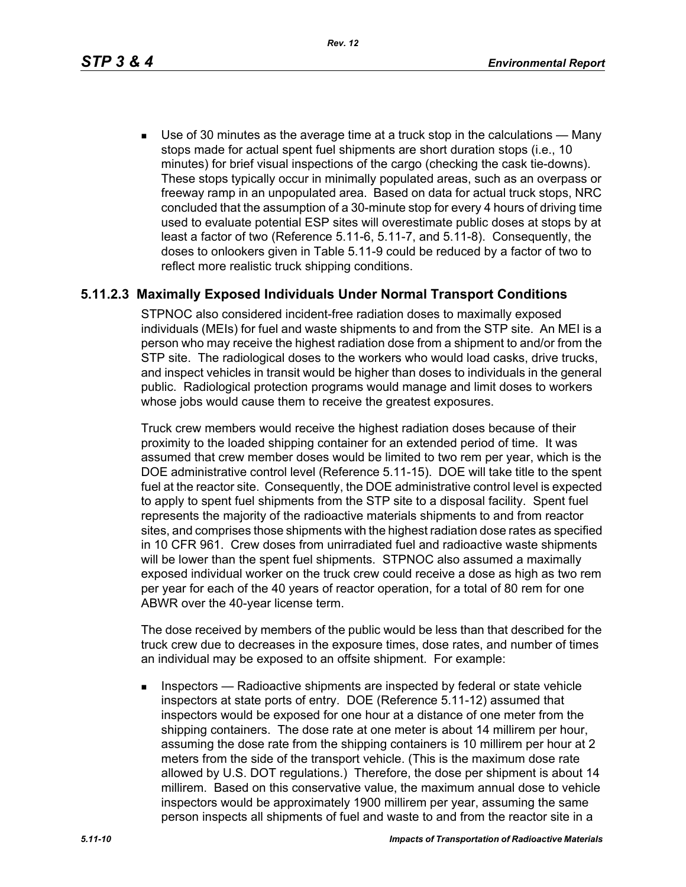*Rev. 12*

 Use of 30 minutes as the average time at a truck stop in the calculations — Many stops made for actual spent fuel shipments are short duration stops (i.e., 10 minutes) for brief visual inspections of the cargo (checking the cask tie-downs). These stops typically occur in minimally populated areas, such as an overpass or freeway ramp in an unpopulated area. Based on data for actual truck stops, NRC concluded that the assumption of a 30-minute stop for every 4 hours of driving time used to evaluate potential ESP sites will overestimate public doses at stops by at least a factor of two (Reference 5.11-6, 5.11-7, and 5.11-8). Consequently, the doses to onlookers given in Table 5.11-9 could be reduced by a factor of two to reflect more realistic truck shipping conditions.

# **5.11.2.3 Maximally Exposed Individuals Under Normal Transport Conditions**

STPNOC also considered incident-free radiation doses to maximally exposed individuals (MEIs) for fuel and waste shipments to and from the STP site. An MEI is a person who may receive the highest radiation dose from a shipment to and/or from the STP site. The radiological doses to the workers who would load casks, drive trucks, and inspect vehicles in transit would be higher than doses to individuals in the general public. Radiological protection programs would manage and limit doses to workers whose jobs would cause them to receive the greatest exposures.

Truck crew members would receive the highest radiation doses because of their proximity to the loaded shipping container for an extended period of time. It was assumed that crew member doses would be limited to two rem per year, which is the DOE administrative control level (Reference 5.11-15). DOE will take title to the spent fuel at the reactor site. Consequently, the DOE administrative control level is expected to apply to spent fuel shipments from the STP site to a disposal facility. Spent fuel represents the majority of the radioactive materials shipments to and from reactor sites, and comprises those shipments with the highest radiation dose rates as specified in 10 CFR 961. Crew doses from unirradiated fuel and radioactive waste shipments will be lower than the spent fuel shipments. STPNOC also assumed a maximally exposed individual worker on the truck crew could receive a dose as high as two rem per year for each of the 40 years of reactor operation, for a total of 80 rem for one ABWR over the 40-year license term.

The dose received by members of the public would be less than that described for the truck crew due to decreases in the exposure times, dose rates, and number of times an individual may be exposed to an offsite shipment. For example:

**Inspectors** — Radioactive shipments are inspected by federal or state vehicle inspectors at state ports of entry. DOE (Reference 5.11-12) assumed that inspectors would be exposed for one hour at a distance of one meter from the shipping containers. The dose rate at one meter is about 14 millirem per hour, assuming the dose rate from the shipping containers is 10 millirem per hour at 2 meters from the side of the transport vehicle. (This is the maximum dose rate allowed by U.S. DOT regulations.) Therefore, the dose per shipment is about 14 millirem. Based on this conservative value, the maximum annual dose to vehicle inspectors would be approximately 1900 millirem per year, assuming the same person inspects all shipments of fuel and waste to and from the reactor site in a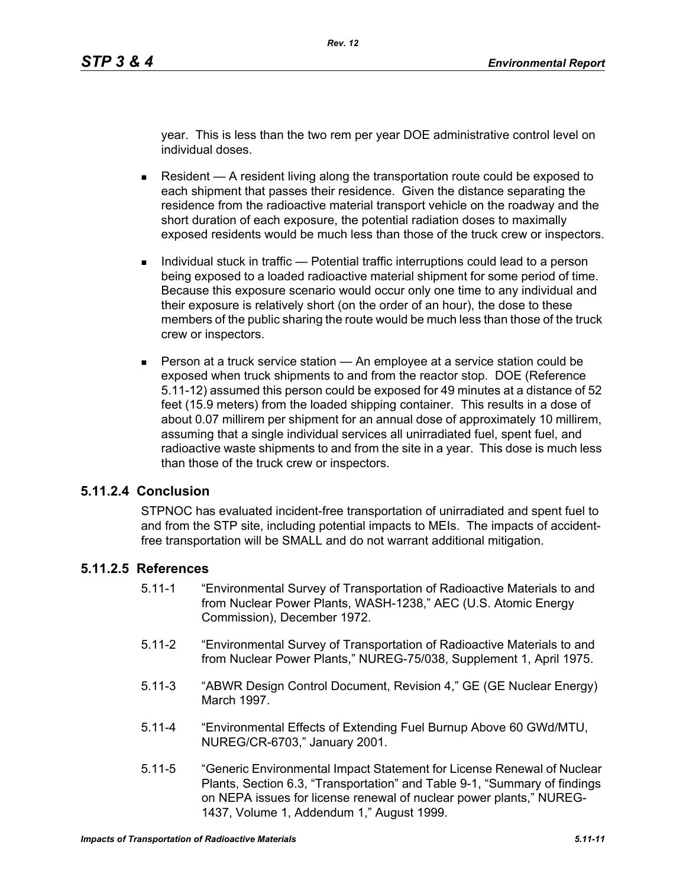year. This is less than the two rem per year DOE administrative control level on individual doses.

- Resident  $A$  resident living along the transportation route could be exposed to each shipment that passes their residence. Given the distance separating the residence from the radioactive material transport vehicle on the roadway and the short duration of each exposure, the potential radiation doses to maximally exposed residents would be much less than those of the truck crew or inspectors.
- Individual stuck in traffic Potential traffic interruptions could lead to a person being exposed to a loaded radioactive material shipment for some period of time. Because this exposure scenario would occur only one time to any individual and their exposure is relatively short (on the order of an hour), the dose to these members of the public sharing the route would be much less than those of the truck crew or inspectors.
- **Person at a truck service station An employee at a service station could be** exposed when truck shipments to and from the reactor stop. DOE (Reference 5.11-12) assumed this person could be exposed for 49 minutes at a distance of 52 feet (15.9 meters) from the loaded shipping container. This results in a dose of about 0.07 millirem per shipment for an annual dose of approximately 10 millirem, assuming that a single individual services all unirradiated fuel, spent fuel, and radioactive waste shipments to and from the site in a year. This dose is much less than those of the truck crew or inspectors.

#### **5.11.2.4 Conclusion**

STPNOC has evaluated incident-free transportation of unirradiated and spent fuel to and from the STP site, including potential impacts to MEIs. The impacts of accidentfree transportation will be SMALL and do not warrant additional mitigation.

# **5.11.2.5 References**

- 5.11-1 "Environmental Survey of Transportation of Radioactive Materials to and from Nuclear Power Plants, WASH-1238," AEC (U.S. Atomic Energy Commission), December 1972.
- 5.11-2 "Environmental Survey of Transportation of Radioactive Materials to and from Nuclear Power Plants," NUREG-75/038, Supplement 1, April 1975.
- 5.11-3 "ABWR Design Control Document, Revision 4," GE (GE Nuclear Energy) March 1997.
- 5.11-4 "Environmental Effects of Extending Fuel Burnup Above 60 GWd/MTU, NUREG/CR-6703," January 2001.
- 5.11-5 "Generic Environmental Impact Statement for License Renewal of Nuclear Plants, Section 6.3, "Transportation" and Table 9-1, "Summary of findings on NEPA issues for license renewal of nuclear power plants," NUREG-1437, Volume 1, Addendum 1," August 1999.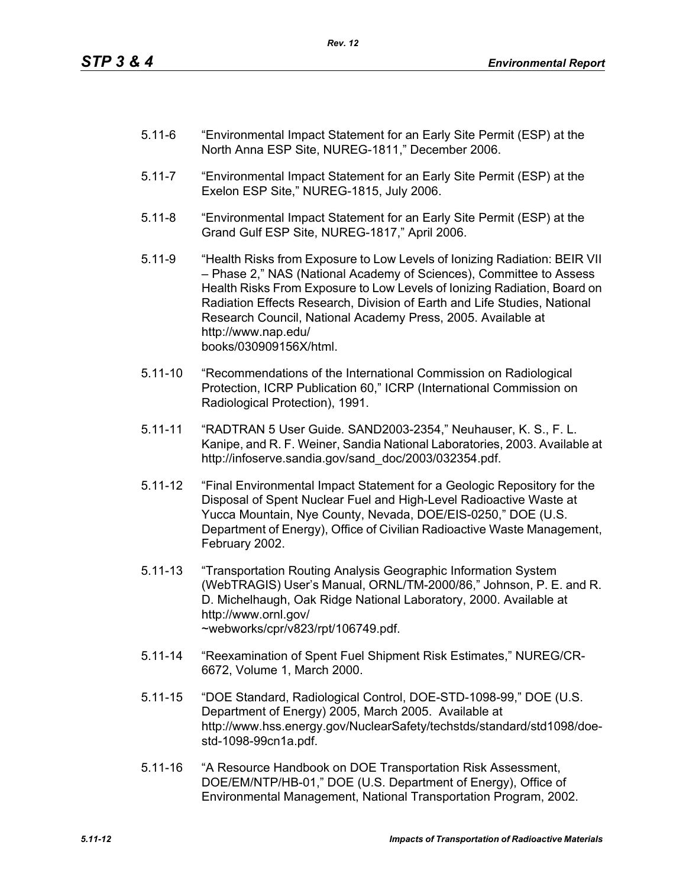- 5.11-6 "Environmental Impact Statement for an Early Site Permit (ESP) at the North Anna ESP Site, NUREG-1811," December 2006.
- 5.11-7 "Environmental Impact Statement for an Early Site Permit (ESP) at the Exelon ESP Site," NUREG-1815, July 2006.
- 5.11-8 "Environmental Impact Statement for an Early Site Permit (ESP) at the Grand Gulf ESP Site, NUREG-1817," April 2006.
- 5.11-9 "Health Risks from Exposure to Low Levels of Ionizing Radiation: BEIR VII – Phase 2," NAS (National Academy of Sciences), Committee to Assess Health Risks From Exposure to Low Levels of Ionizing Radiation, Board on Radiation Effects Research, Division of Earth and Life Studies, National Research Council, National Academy Press, 2005. Available at http://www.nap.edu/ books/030909156X/html.
- 5.11-10 "Recommendations of the International Commission on Radiological Protection, ICRP Publication 60," ICRP (International Commission on Radiological Protection), 1991.
- 5.11-11 "RADTRAN 5 User Guide. SAND2003-2354," Neuhauser, K. S., F. L. Kanipe, and R. F. Weiner, Sandia National Laboratories, 2003. Available at http://infoserve.sandia.gov/sand\_doc/2003/032354.pdf.
- 5.11-12 "Final Environmental Impact Statement for a Geologic Repository for the Disposal of Spent Nuclear Fuel and High-Level Radioactive Waste at Yucca Mountain, Nye County, Nevada, DOE/EIS-0250," DOE (U.S. Department of Energy), Office of Civilian Radioactive Waste Management, February 2002.
- 5.11-13 "Transportation Routing Analysis Geographic Information System (WebTRAGIS) User's Manual, ORNL/TM-2000/86," Johnson, P. E. and R. D. Michelhaugh, Oak Ridge National Laboratory, 2000. Available at http://www.ornl.gov/ ~webworks/cpr/v823/rpt/106749.pdf.
- 5.11-14 "Reexamination of Spent Fuel Shipment Risk Estimates," NUREG/CR-6672, Volume 1, March 2000.
- 5.11-15 "DOE Standard, Radiological Control, DOE-STD-1098-99," DOE (U.S. Department of Energy) 2005, March 2005. Available at http://www.hss.energy.gov/NuclearSafety/techstds/standard/std1098/doestd-1098-99cn1a.pdf.
- 5.11-16 "A Resource Handbook on DOE Transportation Risk Assessment, DOE/EM/NTP/HB-01," DOE (U.S. Department of Energy), Office of Environmental Management, National Transportation Program, 2002.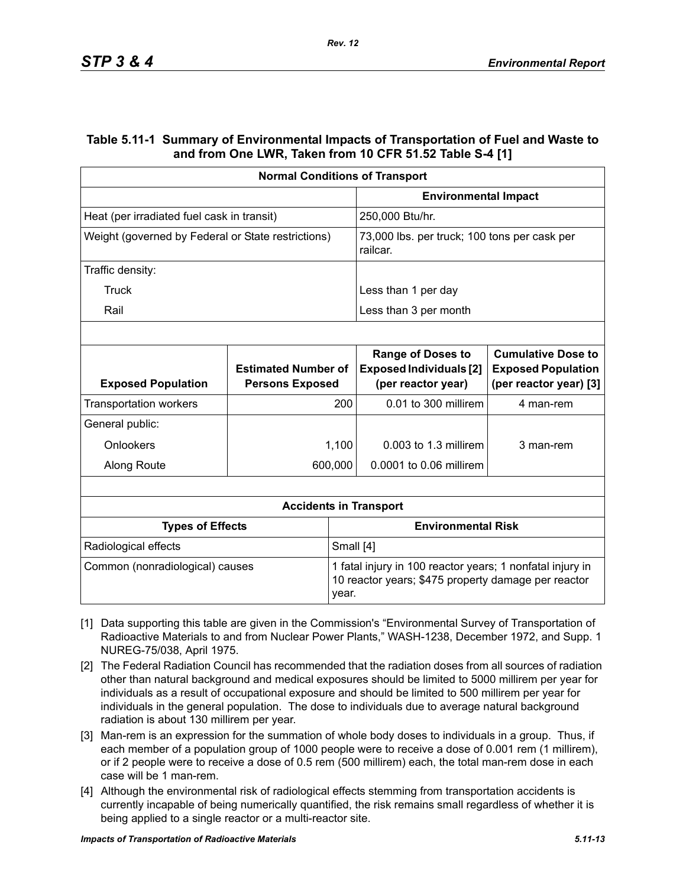#### **Table 5.11-1 Summary of Environmental Impacts of Transportation of Fuel and Waste to and from One LWR, Taken from 10 CFR 51.52 Table S-4 [1]**

| <b>Normal Conditions of Transport</b>              |                                                      |                                                                                                                  |                                                                                  |                                                                                  |  |
|----------------------------------------------------|------------------------------------------------------|------------------------------------------------------------------------------------------------------------------|----------------------------------------------------------------------------------|----------------------------------------------------------------------------------|--|
|                                                    |                                                      |                                                                                                                  | <b>Environmental Impact</b>                                                      |                                                                                  |  |
| Heat (per irradiated fuel cask in transit)         |                                                      |                                                                                                                  | 250,000 Btu/hr.                                                                  |                                                                                  |  |
| Weight (governed by Federal or State restrictions) |                                                      | 73,000 lbs. per truck; 100 tons per cask per<br>railcar.                                                         |                                                                                  |                                                                                  |  |
| Traffic density:                                   |                                                      |                                                                                                                  |                                                                                  |                                                                                  |  |
| Truck                                              |                                                      |                                                                                                                  | Less than 1 per day                                                              |                                                                                  |  |
| Rail                                               |                                                      |                                                                                                                  | Less than 3 per month                                                            |                                                                                  |  |
|                                                    |                                                      |                                                                                                                  |                                                                                  |                                                                                  |  |
| <b>Exposed Population</b>                          | <b>Estimated Number of</b><br><b>Persons Exposed</b> |                                                                                                                  | <b>Range of Doses to</b><br><b>Exposed Individuals [2]</b><br>(per reactor year) | <b>Cumulative Dose to</b><br><b>Exposed Population</b><br>(per reactor year) [3] |  |
| <b>Transportation workers</b>                      |                                                      | 200                                                                                                              | 0.01 to 300 millirem                                                             | 4 man-rem                                                                        |  |
| General public:                                    |                                                      |                                                                                                                  |                                                                                  |                                                                                  |  |
| Onlookers                                          |                                                      | 1,100                                                                                                            | 0.003 to 1.3 millirem                                                            | 3 man-rem                                                                        |  |
| Along Route                                        |                                                      | 600,000                                                                                                          | 0.0001 to 0.06 millirem                                                          |                                                                                  |  |
|                                                    |                                                      |                                                                                                                  |                                                                                  |                                                                                  |  |
|                                                    |                                                      |                                                                                                                  | <b>Accidents in Transport</b>                                                    |                                                                                  |  |
| <b>Types of Effects</b>                            |                                                      |                                                                                                                  | <b>Environmental Risk</b>                                                        |                                                                                  |  |
| Radiological effects<br>Small [4]                  |                                                      |                                                                                                                  |                                                                                  |                                                                                  |  |
| Common (nonradiological) causes<br>year.           |                                                      | 1 fatal injury in 100 reactor years; 1 nonfatal injury in<br>10 reactor years; \$475 property damage per reactor |                                                                                  |                                                                                  |  |

- [1] Data supporting this table are given in the Commission's "Environmental Survey of Transportation of Radioactive Materials to and from Nuclear Power Plants," WASH-1238, December 1972, and Supp. 1 NUREG-75/038, April 1975.
- [2] The Federal Radiation Council has recommended that the radiation doses from all sources of radiation other than natural background and medical exposures should be limited to 5000 millirem per year for individuals as a result of occupational exposure and should be limited to 500 millirem per year for individuals in the general population. The dose to individuals due to average natural background radiation is about 130 millirem per year.
- [3] Man-rem is an expression for the summation of whole body doses to individuals in a group. Thus, if each member of a population group of 1000 people were to receive a dose of 0.001 rem (1 millirem), or if 2 people were to receive a dose of 0.5 rem (500 millirem) each, the total man-rem dose in each case will be 1 man-rem.
- [4] Although the environmental risk of radiological effects stemming from transportation accidents is currently incapable of being numerically quantified, the risk remains small regardless of whether it is being applied to a single reactor or a multi-reactor site.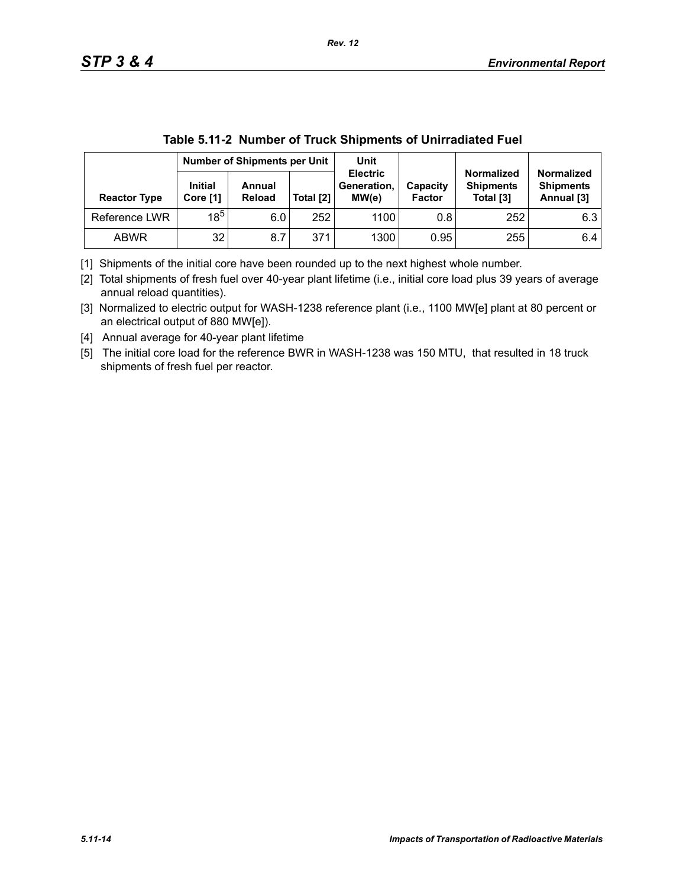|                     | Number of Shipments per Unit |                  |           | Unit                                    |                           |                                                    |                                                     |
|---------------------|------------------------------|------------------|-----------|-----------------------------------------|---------------------------|----------------------------------------------------|-----------------------------------------------------|
| <b>Reactor Type</b> | <b>Initial</b><br>Core [1]   | Annual<br>Reload | Total [2] | <b>Electric</b><br>Generation.<br>MW(e) | Capacity<br><b>Factor</b> | <b>Normalized</b><br><b>Shipments</b><br>Total [3] | <b>Normalized</b><br><b>Shipments</b><br>Annual [3] |
| Reference LWR       | $18^5$                       | 6.0              | 252       | 1100                                    | 0.8                       | 252                                                | 6.3                                                 |
| <b>ABWR</b>         | 32                           | 8.7              | 371       | 1300                                    | 0.95                      | 255                                                | 6.4                                                 |

|  | Table 5.11-2 Number of Truck Shipments of Unirradiated Fuel |
|--|-------------------------------------------------------------|
|  |                                                             |

[1] Shipments of the initial core have been rounded up to the next highest whole number.

[2] Total shipments of fresh fuel over 40-year plant lifetime (i.e., initial core load plus 39 years of average annual reload quantities).

[3] Normalized to electric output for WASH-1238 reference plant (i.e., 1100 MW[e] plant at 80 percent or an electrical output of 880 MW[e]).

[4] Annual average for 40-year plant lifetime

[5] The initial core load for the reference BWR in WASH-1238 was 150 MTU, that resulted in 18 truck shipments of fresh fuel per reactor.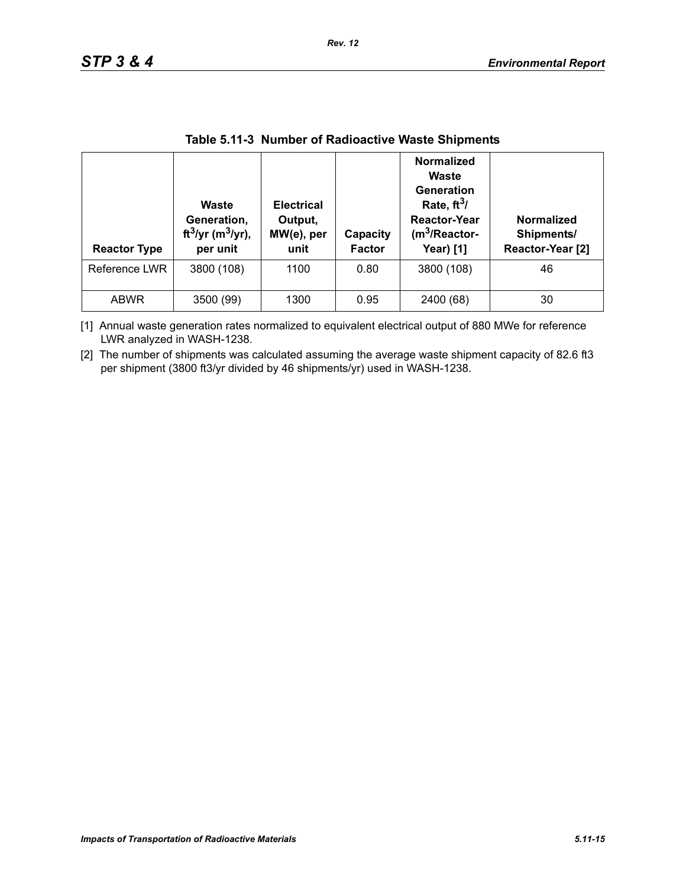| <b>Reactor Type</b> | Waste<br>Generation,<br>ft <sup>3</sup> /yr (m <sup>3</sup> /yr),<br>per unit | <b>Electrical</b><br>Output,<br>MW(e), per<br>unit | Capacity<br><b>Factor</b> | <b>Normalized</b><br>Waste<br>Generation<br>Rate, $ft^3/$<br><b>Reactor-Year</b><br>$(m3/Reactor-$<br><b>Year)</b> [1] | Normalized<br>Shipments/<br>Reactor-Year [2] |
|---------------------|-------------------------------------------------------------------------------|----------------------------------------------------|---------------------------|------------------------------------------------------------------------------------------------------------------------|----------------------------------------------|
| Reference LWR       | 3800 (108)                                                                    | 1100                                               | 0.80                      | 3800 (108)                                                                                                             | 46                                           |
| <b>ABWR</b>         | 3500 (99)                                                                     | 1300                                               | 0.95                      | 2400 (68)                                                                                                              | 30                                           |

#### **Table 5.11-3 Number of Radioactive Waste Shipments**

[1] Annual waste generation rates normalized to equivalent electrical output of 880 MWe for reference LWR analyzed in WASH-1238.

[2] The number of shipments was calculated assuming the average waste shipment capacity of 82.6 ft3 per shipment (3800 ft3/yr divided by 46 shipments/yr) used in WASH-1238.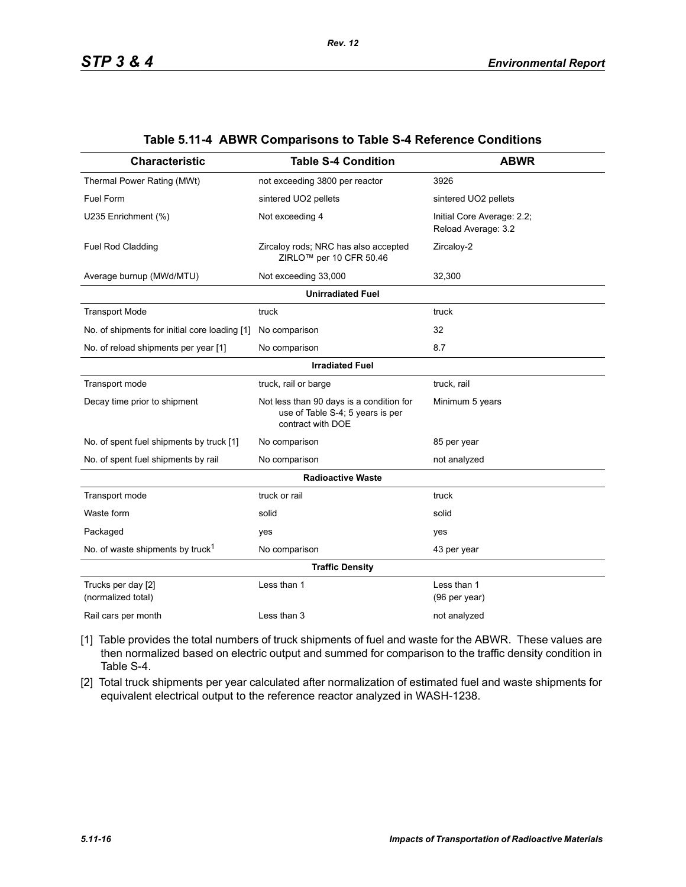| <b>Characteristic</b>                         | <b>Table S-4 Condition</b>                                                                        | <b>ABWR</b>                                       |  |  |  |  |  |
|-----------------------------------------------|---------------------------------------------------------------------------------------------------|---------------------------------------------------|--|--|--|--|--|
| Thermal Power Rating (MWt)                    | not exceeding 3800 per reactor                                                                    | 3926                                              |  |  |  |  |  |
| Fuel Form                                     | sintered UO2 pellets                                                                              | sintered UO2 pellets                              |  |  |  |  |  |
| U235 Enrichment (%)                           | Not exceeding 4                                                                                   | Initial Core Average: 2.2;<br>Reload Average: 3.2 |  |  |  |  |  |
| Fuel Rod Cladding                             | Zircaloy rods; NRC has also accepted<br>ZIRLO <sup>™</sup> per 10 CFR 50.46                       | Zircaloy-2                                        |  |  |  |  |  |
| Average burnup (MWd/MTU)                      | Not exceeding 33,000                                                                              | 32,300                                            |  |  |  |  |  |
| <b>Unirradiated Fuel</b>                      |                                                                                                   |                                                   |  |  |  |  |  |
| <b>Transport Mode</b>                         | truck                                                                                             | truck                                             |  |  |  |  |  |
| No. of shipments for initial core loading [1] | No comparison                                                                                     | 32                                                |  |  |  |  |  |
| No. of reload shipments per year [1]          | No comparison                                                                                     | 8.7                                               |  |  |  |  |  |
|                                               | <b>Irradiated Fuel</b>                                                                            |                                                   |  |  |  |  |  |
| Transport mode                                | truck, rail or barge                                                                              | truck, rail                                       |  |  |  |  |  |
| Decay time prior to shipment                  | Not less than 90 days is a condition for<br>use of Table S-4; 5 years is per<br>contract with DOE | Minimum 5 years                                   |  |  |  |  |  |
| No. of spent fuel shipments by truck [1]      | No comparison                                                                                     | 85 per year                                       |  |  |  |  |  |
| No. of spent fuel shipments by rail           | No comparison                                                                                     | not analyzed                                      |  |  |  |  |  |
|                                               | <b>Radioactive Waste</b>                                                                          |                                                   |  |  |  |  |  |
| Transport mode                                | truck or rail                                                                                     | truck                                             |  |  |  |  |  |
| Waste form                                    | solid                                                                                             | solid                                             |  |  |  |  |  |
| Packaged                                      | yes                                                                                               | yes                                               |  |  |  |  |  |
| No. of waste shipments by truck <sup>1</sup>  | No comparison                                                                                     | 43 per year                                       |  |  |  |  |  |
|                                               | <b>Traffic Density</b>                                                                            |                                                   |  |  |  |  |  |
| Trucks per day [2]<br>(normalized total)      | Less than 1                                                                                       | Less than 1<br>(96 per year)                      |  |  |  |  |  |
| Rail cars per month                           | Less than 3                                                                                       | not analyzed                                      |  |  |  |  |  |

#### **Table 5.11-4 ABWR Comparisons to Table S-4 Reference Conditions**

[1] Table provides the total numbers of truck shipments of fuel and waste for the ABWR. These values are then normalized based on electric output and summed for comparison to the traffic density condition in Table S-4.

[2] Total truck shipments per year calculated after normalization of estimated fuel and waste shipments for equivalent electrical output to the reference reactor analyzed in WASH-1238.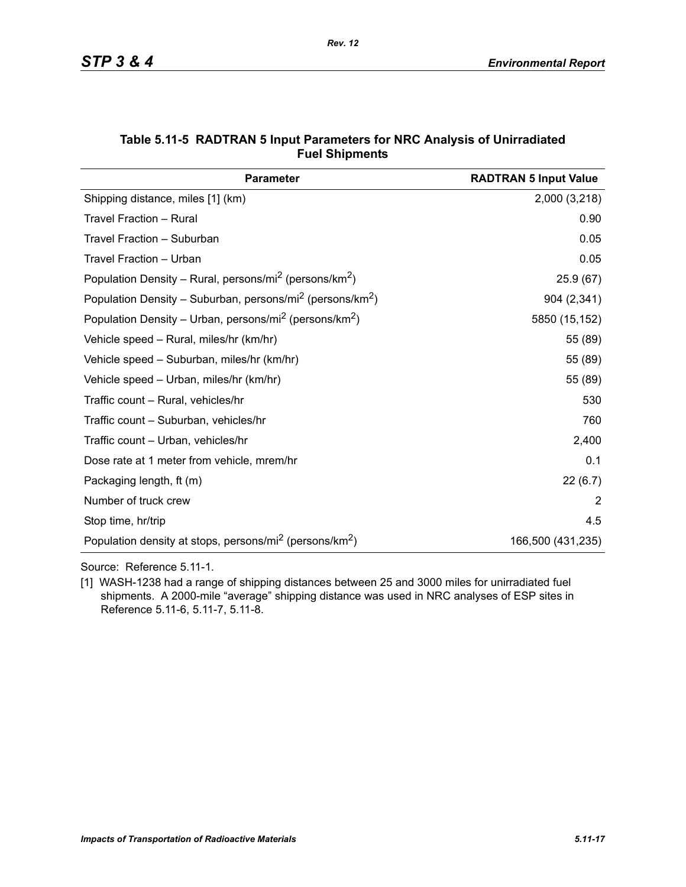| <b>Parameter</b>                                                                  | <b>RADTRAN 5 Input Value</b> |
|-----------------------------------------------------------------------------------|------------------------------|
| Shipping distance, miles [1] (km)                                                 | 2,000 (3,218)                |
| Travel Fraction - Rural                                                           | 0.90                         |
| Travel Fraction - Suburban                                                        | 0.05                         |
| Travel Fraction - Urban                                                           | 0.05                         |
| Population Density – Rural, persons/mi <sup>2</sup> (persons/km <sup>2</sup> )    | 25.9(67)                     |
| Population Density – Suburban, persons/mi <sup>2</sup> (persons/km <sup>2</sup> ) | 904 (2,341)                  |
| Population Density – Urban, persons/mi <sup>2</sup> (persons/km <sup>2</sup> )    | 5850 (15,152)                |
| Vehicle speed - Rural, miles/hr (km/hr)                                           | 55 (89)                      |
| Vehicle speed - Suburban, miles/hr (km/hr)                                        | 55 (89)                      |
| Vehicle speed - Urban, miles/hr (km/hr)                                           | 55 (89)                      |
| Traffic count - Rural, vehicles/hr                                                | 530                          |
| Traffic count - Suburban, vehicles/hr                                             | 760                          |
| Traffic count – Urban, vehicles/hr                                                | 2,400                        |
| Dose rate at 1 meter from vehicle, mrem/hr                                        | 0.1                          |
| Packaging length, ft (m)                                                          | 22(6.7)                      |
| Number of truck crew                                                              | 2                            |
| Stop time, hr/trip                                                                | 4.5                          |
| Population density at stops, persons/mi <sup>2</sup> (persons/km <sup>2</sup> )   | 166,500 (431,235)            |

#### **Table 5.11-5 RADTRAN 5 Input Parameters for NRC Analysis of Unirradiated Fuel Shipments**

Source: Reference 5.11-1.

[1] WASH-1238 had a range of shipping distances between 25 and 3000 miles for unirradiated fuel shipments. A 2000-mile "average" shipping distance was used in NRC analyses of ESP sites in Reference 5.11-6, 5.11-7, 5.11-8.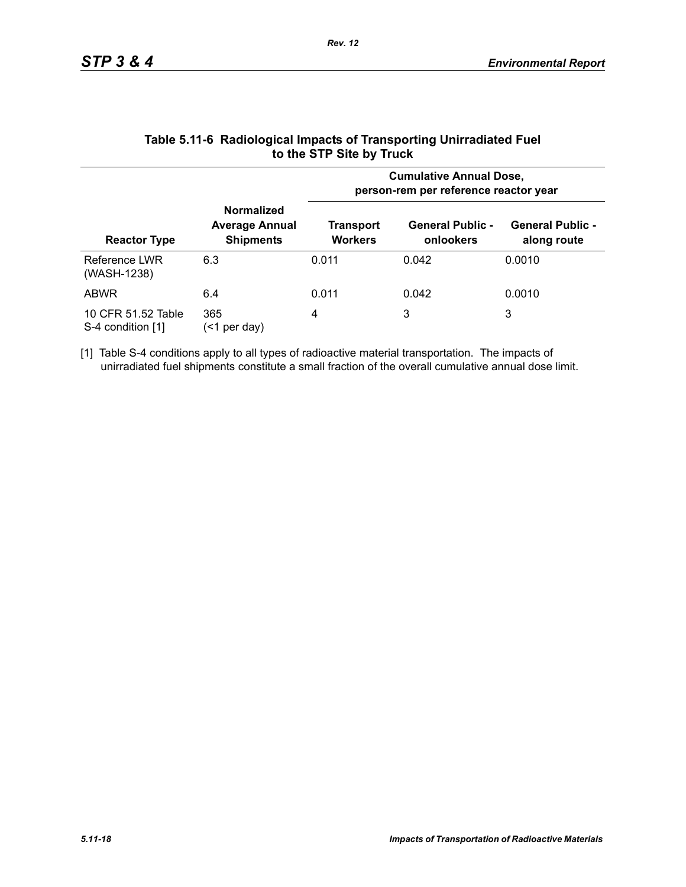|                                         |                                                                | <b>Cumulative Annual Dose,</b><br>person-rem per reference reactor year |                                      |                                        |  |
|-----------------------------------------|----------------------------------------------------------------|-------------------------------------------------------------------------|--------------------------------------|----------------------------------------|--|
| <b>Reactor Type</b>                     | <b>Normalized</b><br><b>Average Annual</b><br><b>Shipments</b> | Transport<br><b>Workers</b>                                             | <b>General Public -</b><br>onlookers | <b>General Public -</b><br>along route |  |
| Reference LWR<br>(WASH-1238)            | 6.3                                                            | 0.011                                                                   | 0.042                                | 0.0010                                 |  |
| <b>ABWR</b>                             | 6.4                                                            | 0.011                                                                   | 0.042                                | 0.0010                                 |  |
| 10 CFR 51.52 Table<br>S-4 condition [1] | 365<br>per day)<br>(<1                                         | 4                                                                       | 3                                    | 3                                      |  |

#### **Table 5.11-6 Radiological Impacts of Transporting Unirradiated Fuel to the STP Site by Truck**

[1] Table S-4 conditions apply to all types of radioactive material transportation. The impacts of unirradiated fuel shipments constitute a small fraction of the overall cumulative annual dose limit.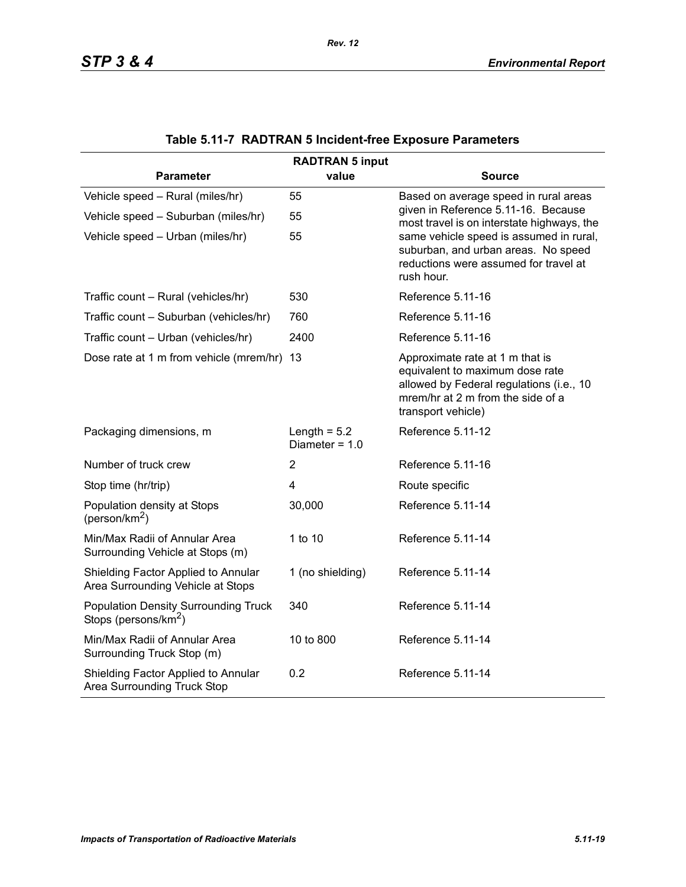| <b>RADTRAN 5 input</b>                                                          |                                    |                                                                                                                                                                           |  |  |  |  |
|---------------------------------------------------------------------------------|------------------------------------|---------------------------------------------------------------------------------------------------------------------------------------------------------------------------|--|--|--|--|
| <b>Parameter</b>                                                                | value                              | <b>Source</b>                                                                                                                                                             |  |  |  |  |
| Vehicle speed - Rural (miles/hr)                                                | 55                                 | Based on average speed in rural areas                                                                                                                                     |  |  |  |  |
| Vehicle speed - Suburban (miles/hr)                                             | 55                                 | given in Reference 5.11-16. Because<br>most travel is on interstate highways, the                                                                                         |  |  |  |  |
| Vehicle speed - Urban (miles/hr)                                                | 55                                 | same vehicle speed is assumed in rural,<br>suburban, and urban areas. No speed<br>reductions were assumed for travel at<br>rush hour.                                     |  |  |  |  |
| Traffic count - Rural (vehicles/hr)                                             | 530                                | Reference 5.11-16                                                                                                                                                         |  |  |  |  |
| Traffic count - Suburban (vehicles/hr)                                          | 760                                | Reference 5.11-16                                                                                                                                                         |  |  |  |  |
| Traffic count - Urban (vehicles/hr)                                             | 2400                               | Reference 5.11-16                                                                                                                                                         |  |  |  |  |
| Dose rate at 1 m from vehicle (mrem/hr) 13                                      |                                    | Approximate rate at 1 m that is<br>equivalent to maximum dose rate<br>allowed by Federal regulations (i.e., 10<br>mrem/hr at 2 m from the side of a<br>transport vehicle) |  |  |  |  |
| Packaging dimensions, m                                                         | Length = $5.2$<br>Diameter = $1.0$ | Reference 5.11-12                                                                                                                                                         |  |  |  |  |
| Number of truck crew                                                            | $\overline{2}$                     | Reference 5.11-16                                                                                                                                                         |  |  |  |  |
| Stop time (hr/trip)                                                             | $\overline{4}$                     | Route specific                                                                                                                                                            |  |  |  |  |
| Population density at Stops<br>(person/km <sup>2</sup> )                        | 30,000                             | Reference 5.11-14                                                                                                                                                         |  |  |  |  |
| Min/Max Radii of Annular Area<br>Surrounding Vehicle at Stops (m)               | 1 to 10                            | Reference 5.11-14                                                                                                                                                         |  |  |  |  |
| Shielding Factor Applied to Annular<br>Area Surrounding Vehicle at Stops        | 1 (no shielding)                   | Reference 5.11-14                                                                                                                                                         |  |  |  |  |
| <b>Population Density Surrounding Truck</b><br>Stops (persons/km <sup>2</sup> ) | 340                                | Reference 5.11-14                                                                                                                                                         |  |  |  |  |
| Min/Max Radii of Annular Area<br>Surrounding Truck Stop (m)                     | 10 to 800                          | Reference 5.11-14                                                                                                                                                         |  |  |  |  |
| Shielding Factor Applied to Annular<br>Area Surrounding Truck Stop              | 0.2                                | Reference 5.11-14                                                                                                                                                         |  |  |  |  |

# **Table 5.11-7 RADTRAN 5 Incident-free Exposure Parameters**